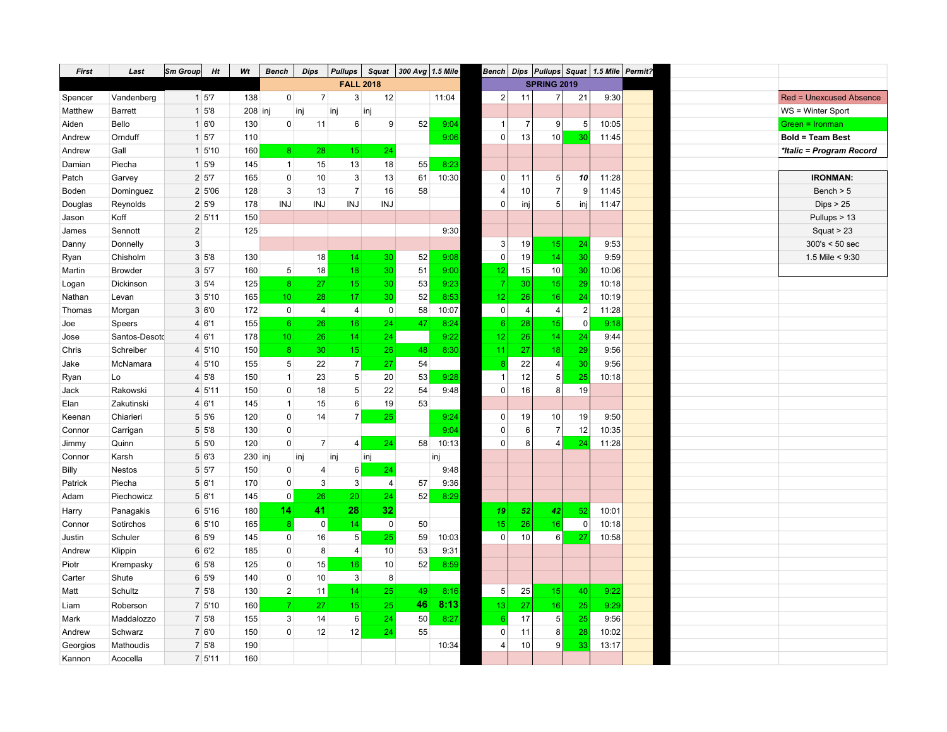| <b>First</b> | Last           | Sm Group       | Ht                          | Wt      | <b>Bench</b>     | <b>Dips</b>    | <b>Pullups</b>   | <b>Squat</b>   | 300 Avg 1.5 Mile |       |                   |                |                         |                | Bench Dips Pullups Squat 1.5 Mile Permit? |  |                                |
|--------------|----------------|----------------|-----------------------------|---------|------------------|----------------|------------------|----------------|------------------|-------|-------------------|----------------|-------------------------|----------------|-------------------------------------------|--|--------------------------------|
|              |                |                |                             |         |                  |                | <b>FALL 2018</b> |                |                  |       |                   |                | <b>SPRING 2019</b>      |                |                                           |  |                                |
| Spencer      | Vandenberg     |                | 1 57                        | 138     | $\mathbf 0$      | $\overline{7}$ | 3                | 12             |                  | 11:04 | $\overline{2}$    | 11             | $\overline{7}$          | 21             | 9:30                                      |  | <b>Red = Unexcused Absence</b> |
| Matthew      | <b>Barrett</b> |                | $1 \, 5'8$                  | 208 inj |                  | inj            | inj              | inj            |                  |       |                   |                |                         |                |                                           |  | WS = Winter Sport              |
| Aiden        | Bello          |                | 1 6'0                       | 130     | $\mathbf 0$      | 11             | 6                | 9              | 52               | 9:04  | -1                | 7              | 9                       | 5              | 10:05                                     |  | Green = Ironman                |
| Andrew       | Ornduff        |                | $1 \, 5'7$                  | 110     |                  |                |                  |                |                  | 9:06  | $\Omega$          | 13             | 10                      | 30             | 11:45                                     |  | <b>Bold = Team Best</b>        |
| Andrew       | Gall           |                | 1 5'10                      | 160     | $\boldsymbol{8}$ | 28             | 15               | 24             |                  |       |                   |                |                         |                |                                           |  | *Italic = Program Record       |
| Damian       | Piecha         |                | $1 \overline{\smash{5}}$ '9 | 145     | $\mathbf{1}$     | 15             | 13               | 18             | 55               | 8:23  |                   |                |                         |                |                                           |  |                                |
| Patch        | Garvey         |                | 2 5'7                       | 165     | $\mathbf 0$      | 10             | 3                | 13             | 61               | 10:30 | 0                 | 11             | 5                       | 10             | 11:28                                     |  | <b>IRONMAN:</b>                |
| Boden        | Dominguez      |                | 2 5'06                      | 128     | $\mathsf 3$      | 13             | $\overline{7}$   | 16             | 58               |       | $\overline{4}$    | 10             | $\overline{\mathbf{7}}$ | 9              | 11:45                                     |  | Bench $> 5$                    |
| Douglas      | Reynolds       |                | 2 5'9                       | 178     | <b>INJ</b>       | <b>INJ</b>     | <b>INJ</b>       | <b>INJ</b>     |                  |       | $\Omega$          | inj            | 5                       | inj            | 11:47                                     |  | Dips > 25                      |
| Jason        | Koff           |                | 2 5'11                      | 150     |                  |                |                  |                |                  |       |                   |                |                         |                |                                           |  | Pullups > 13                   |
| James        | Sennott        | $\overline{2}$ |                             | 125     |                  |                |                  |                |                  | 9:30  |                   |                |                         |                |                                           |  | Squat $> 23$                   |
| Danny        | Donnelly       | 3              |                             |         |                  |                |                  |                |                  |       | 3                 | 19             | 15                      | 24             | 9:53                                      |  | 300's < 50 sec                 |
| Ryan         | Chisholm       |                | 3 5'8                       | 130     |                  | 18             | 14               | 30             | 52               | 9:08  | $\pmb{0}$         | 19             | 14                      | 30             | 9:59                                      |  | 1.5 Mile $< 9:30$              |
| Martin       | Browder        |                | 3 5'7                       | 160     | $5\overline{)}$  | 18             | 18               | 30             | 51               | 9:00  | $12 \overline{ }$ | 15             | 10                      | 30             | 10:06                                     |  |                                |
| Logan        | Dickinson      |                | $3 \, 5'4$                  | 125     | 8 <sup>1</sup>   | 27             | 15 <sup>2</sup>  | 30             | 53               | 9:23  |                   | 30             | 15                      | 29             | 10:18                                     |  |                                |
| Nathan       | Levan          |                | 3 5'10                      | 165     | 10               | 28             | 17               | 30             | 52               | 8:53  | 12                | 26             | 16                      | 24             | 10:19                                     |  |                                |
| Thomas       | Morgan         |                | 3 6'0                       | 172     | $\overline{0}$   | $\overline{4}$ | $\overline{4}$   | $\mathbf 0$    | 58               | 10:07 | $\pmb{0}$         | $\overline{4}$ | $\overline{4}$          | $\overline{2}$ | 11:28                                     |  |                                |
| Joe          | Speers         |                | 4 6'1                       | 155     | $6^{\circ}$      | 26             | 16               | 24             | 47               | 8:24  | $6\phantom{1}6$   | 28             | 15                      | $\mathbf 0$    | 9:18                                      |  |                                |
| Jose         | Santos-Desotd  |                | 4 6'1                       | 178     | 10               | 26             | 14 <sup>°</sup>  | 24             |                  | 9:22  | 12                | 26             | 14                      | 24             | 9:44                                      |  |                                |
| Chris        | Schreiber      |                | 4 5'10                      | 150     | 8 <sup>°</sup>   | 30             | 15               | 26             | 48               | 8:30  | 11                | 27             | 18                      | 29             | 9:56                                      |  |                                |
| Jake         | McNamara       |                | 4 5'10                      | 155     | 5                | 22             | $\overline{7}$   | 27             | 54               |       |                   | 22             | $\overline{4}$          | 30             | 9:56                                      |  |                                |
| Ryan         | Lo             |                | 4 5'8                       | 150     | $\mathbf{1}$     | 23             | $5\phantom{.0}$  | 20             | 53               | 9:28  |                   | 12             | $\mathbf 5$             | 25             | 10:18                                     |  |                                |
| Jack         | Rakowski       |                | 4 5'11                      | 150     | $\mathbf 0$      | 18             | 5                | 22             | 54               | 9:48  | $\Omega$          | 16             | 8                       | 19             |                                           |  |                                |
| Elan         | Zakutinski     |                | 4 6'1                       | 145     | $\mathbf{1}$     | 15             | 6                | 19             | 53               |       |                   |                |                         |                |                                           |  |                                |
| Keenan       | Chiarieri      |                | $5\,56$                     | 120     | $\mathbf 0$      | 14             | 7 <sup>1</sup>   | 25             |                  | 9:24  | $\Omega$          | 19             | 10                      | 19             | 9:50                                      |  |                                |
| Connor       | Carrigan       |                | 5 5'8                       | 130     | $\mathbf 0$      |                |                  |                |                  | 9:04  | $\Omega$          | 6              | $\overline{7}$          | 12             | 10:35                                     |  |                                |
| Jimmy        | Quinn          |                | 5 5'0                       | 120     | $\mathbf{0}$     | $\overline{7}$ | 4                | 24             | 58               | 10:13 | $\Omega$          | 8              | 4                       | 24             | 11:28                                     |  |                                |
| Connor       | Karsh          |                | 5 6'3                       | 230 inj |                  | inj            | inj              | inj            |                  | inj   |                   |                |                         |                |                                           |  |                                |
| Billy        | <b>Nestos</b>  |                | 5 5'7                       | 150     | $\mathbf 0$      | 4              | 6                | 24             |                  | 9:48  |                   |                |                         |                |                                           |  |                                |
| Patrick      | Piecha         |                | 5 6'1                       | 170     | $\mathbf 0$      | 3              | $\mathbf{3}$     | $\overline{4}$ | 57               | 9:36  |                   |                |                         |                |                                           |  |                                |
| Adam         | Piechowicz     |                | 5 6'1                       | 145     | 0                | 26             | 20 <sup>°</sup>  | 24             | 52               | 8:29  |                   |                |                         |                |                                           |  |                                |
| Harry        | Panagakis      |                | 6 5'16                      | 180     | 14               | 41             | 28               | 32             |                  |       | 19                | 52             | 42                      | 52             | 10:01                                     |  |                                |
| Connor       | Sotirchos      |                | 6 5'10                      | 165     | 8                | $\mathsf 0$    | 14 <sup>1</sup>  | $\mathbf 0$    | 50               |       | 15                | 26             | 16                      | $\mathbf 0$    | 10:18                                     |  |                                |
| Justin       | Schuler        |                | 6 5'9                       | 145     | $\overline{0}$   | 16             | 5                | 25             | 59               | 10:03 | $\Omega$          | 10             | 6                       | 27             | 10:58                                     |  |                                |
| Andrew       | Klippin        |                | 6 6'2                       | 185     | $\mathbf 0$      | 8              | $\overline{4}$   | 10             | 53               | 9:31  |                   |                |                         |                |                                           |  |                                |
| Piotr        | Krempasky      |                | $6\,5'8$                    | 125     | $\pmb{0}$        | 15             | 16               | 10             | 52               | 8:59  |                   |                |                         |                |                                           |  |                                |
| Carter       | Shute          |                | 6 5'9                       | 140     | $\pmb{0}$        | 10             | 3                | 8              |                  |       |                   |                |                         |                |                                           |  |                                |
| Matt         | Schultz        |                | 7 5'8                       | 130     | $\overline{2}$   | 11             | 14               | 25             | 49               | 8:16  | 5                 | 25             | 15                      | 40             | 9:22                                      |  |                                |
| Liam         | Roberson       |                | 7 5'10                      | 160     | $\overline{7}$   | 27             | 15               | 25             | 46               | 8:13  | 13                | 27             | 16                      | 25             | 9:29                                      |  |                                |
| Mark         | Maddalozzo     |                | 7 5'8                       | 155     | 3                | 14             | 6                | 24             | 50               | 8:27  | 6                 | 17             | $\mathbf 5$             | 25             | 9:56                                      |  |                                |
| Andrew       | Schwarz        |                | 7 6'0                       | 150     | $\mathbf 0$      | 12             | 12               | 24             | 55               |       | $\Omega$          | 11             | 8                       | 28             | 10:02                                     |  |                                |
| Georgios     | Mathoudis      |                | 7 5'8                       | 190     |                  |                |                  |                |                  | 10:34 | $\overline{4}$    | 10             | 9                       | 33             | 13:17                                     |  |                                |
| Kannon       | Acocella       |                | 7 5'11                      | 160     |                  |                |                  |                |                  |       |                   |                |                         |                |                                           |  |                                |